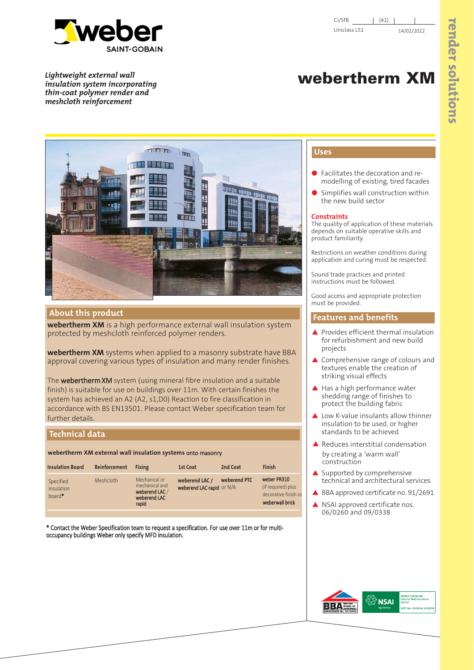

*Lightweight external wall insulation system incorporating thin-coat polymer render and meshcloth reinforcement*

# **webertherm XM**



## **About this product**

**webertherm XM** is a high performance external wall insulation system protected by meshcloth reinforced polymer renders.

**webertherm XM** systems when applied to a masonry substrate have BBA approval covering various types of insulation and many render finishes.

The webertherm XM system (using mineral fibre insulation and a suitable finish) is suitable for use on buildings over 11m. With certain finishes the system has achieved an A2 (A2, s1,D0) Reaction to fire classification in accordance with BS EN13501. Please contact Weber specification team for further details.

# **Technical data**

**webertherm XM external wall insulation systems** onto masonry

| <b>Insulation Board</b>             | Reinforcement | <b>Fixing</b>                                                              | 1st Coat                                      | 2nd Coat     | <b>Finish</b>                                                                |
|-------------------------------------|---------------|----------------------------------------------------------------------------|-----------------------------------------------|--------------|------------------------------------------------------------------------------|
| Specified<br>insulation<br>$board*$ | Meshcloth     | Mechanical or<br>mechanical and<br>weberend LAC /<br>weberend LAC<br>rapid | weberend LAC /<br>weberend LAC rapid $or N/A$ | weberend PTC | weber PR310<br>(if required) plus<br>decorative finish or<br>weberwall brick |

\* Contact the Weber Specification team to request a specification. For use over 11m or for multioccupancy buildings Weber only specify MFD insulation.

# **Uses**

- Facilitates the decoration and remodelling of existing, tired facades
- Simplifies wall construction within the new build sector

## **Constraints**

The quality of application of these materials depends on suitable operative skills and product familiarity.

Restrictions on weather conditions during application and curing must be respected.

Sound trade practices and printed instructions must be followed.

Good access and appropriate protection must be provided.

# **Features and benefits**

- ▲ Provides efficient thermal insulation for refurbishment and new build projects
- ▲ Comprehensive range of colours and textures enable the creation of striking visual effects
- ▲ Has a high performance water shedding range of finishes to protect the building fabric
- ▲ Low K-value insulants allow thinner insulation to be used, or higher standards to be achieved
- Reduces interstitial condensation by creating a 'warm wall' construction
- Supported by comprehensive technical and architectural services
- ▲ BBA approved certificate no. 91/2691
- ▲ NSAI approved certificate nos. 06/0260 and 09/0338